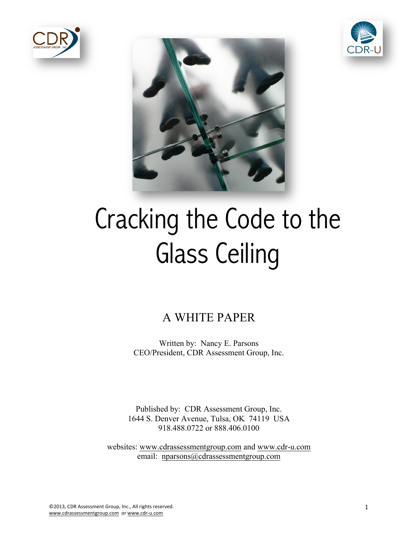





# Cracking the Code to the Glass Ceiling

# A WHITE PAPER

Written by: Nancy E. Parsons CEO/President, CDR Assessment Group, Inc.

Published by: CDR Assessment Group, Inc. 1644 S. Denver Avenue, Tulsa, OK 74119 USA 918.488.0722 or 888.406.0100

websites: www.cdrassessmentgroup.com and www.cdr-u.com email: nparsons@cdrassessmentgroup.com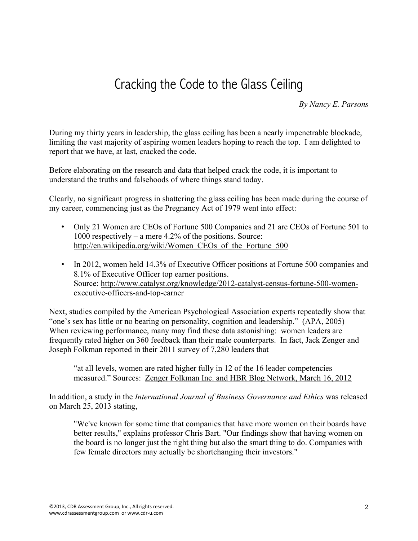# Cracking the Code to the Glass Ceiling

*By Nancy E. Parsons*

During my thirty years in leadership, the glass ceiling has been a nearly impenetrable blockade, limiting the vast majority of aspiring women leaders hoping to reach the top. I am delighted to report that we have, at last, cracked the code.

Before elaborating on the research and data that helped crack the code, it is important to understand the truths and falsehoods of where things stand today.

Clearly, no significant progress in shattering the glass ceiling has been made during the course of my career, commencing just as the Pregnancy Act of 1979 went into effect:

- Only 21 Women are CEOs of Fortune 500 Companies and 21 are CEOs of Fortune 501 to 1000 respectively – a mere 4.2% of the positions. Source: http://en.wikipedia.org/wiki/Women\_CEOs\_of\_the\_Fortune\_500
- In 2012, women held 14.3% of Executive Officer positions at Fortune 500 companies and 8.1% of Executive Officer top earner positions. Source: http://www.catalyst.org/knowledge/2012-catalyst-census-fortune-500-womenexecutive-officers-and-top-earner

Next, studies compiled by the American Psychological Association experts repeatedly show that "one's sex has little or no bearing on personality, cognition and leadership." (APA, 2005) When reviewing performance, many may find these data astonishing: women leaders are frequently rated higher on 360 feedback than their male counterparts. In fact, Jack Zenger and Joseph Folkman reported in their 2011 survey of 7,280 leaders that

"at all levels, women are rated higher fully in 12 of the 16 leader competencies measured." Sources: Zenger Folkman Inc. and HBR Blog Network, March 16, 2012

In addition, a study in the *International Journal of Business Governance and Ethics* was released on March 25, 2013 stating,

"We've known for some time that companies that have more women on their boards have better results," explains professor Chris Bart. "Our findings show that having women on the board is no longer just the right thing but also the smart thing to do. Companies with few female directors may actually be shortchanging their investors."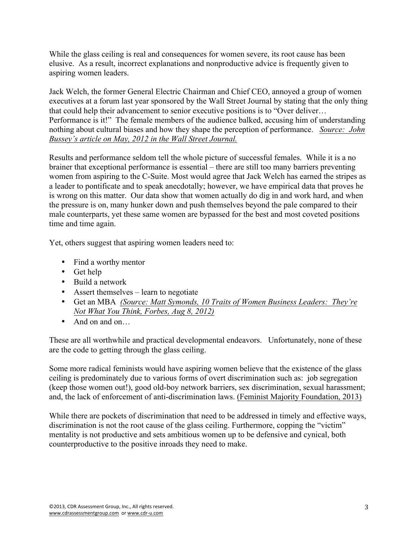While the glass ceiling is real and consequences for women severe, its root cause has been elusive. As a result, incorrect explanations and nonproductive advice is frequently given to aspiring women leaders.

Jack Welch, the former General Electric Chairman and Chief CEO, annoyed a group of women executives at a forum last year sponsored by the Wall Street Journal by stating that the only thing that could help their advancement to senior executive positions is to "Over deliver… Performance is it!" The female members of the audience balked, accusing him of understanding nothing about cultural biases and how they shape the perception of performance. *Source: John Bussey's article on May, 2012 in the Wall Street Journal.* 

Results and performance seldom tell the whole picture of successful females. While it is a no brainer that exceptional performance is essential – there are still too many barriers preventing women from aspiring to the C-Suite. Most would agree that Jack Welch has earned the stripes as a leader to pontificate and to speak anecdotally; however, we have empirical data that proves he is wrong on this matter. Our data show that women actually do dig in and work hard, and when the pressure is on, many hunker down and push themselves beyond the pale compared to their male counterparts, yet these same women are bypassed for the best and most coveted positions time and time again.

Yet, others suggest that aspiring women leaders need to:

- Find a worthy mentor
- Get help
- Build a network
- Assert themselves learn to negotiate
- Get an MBA *(Source: Matt Symonds, 10 Traits of Women Business Leaders: They're Not What You Think, Forbes, Aug 8, 2012)*
- And on and on

These are all worthwhile and practical developmental endeavors. Unfortunately, none of these are the code to getting through the glass ceiling.

Some more radical feminists would have aspiring women believe that the existence of the glass ceiling is predominately due to various forms of overt discrimination such as: job segregation (keep those women out!), good old-boy network barriers, sex discrimination, sexual harassment; and, the lack of enforcement of anti-discrimination laws. (Feminist Majority Foundation, 2013)

While there are pockets of discrimination that need to be addressed in timely and effective ways, discrimination is not the root cause of the glass ceiling. Furthermore, copping the "victim" mentality is not productive and sets ambitious women up to be defensive and cynical, both counterproductive to the positive inroads they need to make.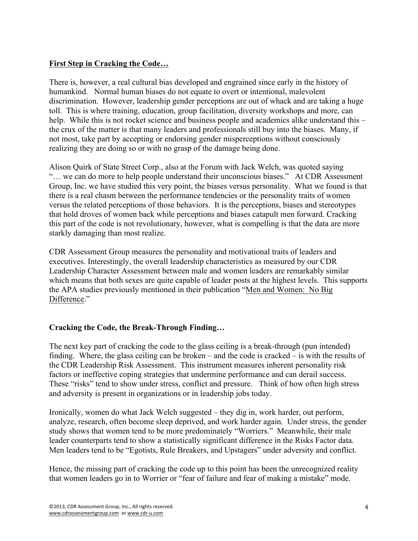### **First Step in Cracking the Code…**

There is, however, a real cultural bias developed and engrained since early in the history of humankind. Normal human biases do not equate to overt or intentional, malevolent discrimination. However, leadership gender perceptions are out of whack and are taking a huge toll. This is where training, education, group facilitation, diversity workshops and more, can help. While this is not rocket science and business people and academics alike understand this – the crux of the matter is that many leaders and professionals still buy into the biases. Many, if not most, take part by accepting or endorsing gender misperceptions without consciously realizing they are doing so or with no grasp of the damage being done.

Alison Quirk of State Street Corp., also at the Forum with Jack Welch, was quoted saying "… we can do more to help people understand their unconscious biases." At CDR Assessment Group, Inc. we have studied this very point, the biases versus personality. What we found is that there is a real chasm between the performance tendencies or the personality traits of women versus the related perceptions of those behaviors. It is the perceptions, biases and stereotypes that hold droves of women back while perceptions and biases catapult men forward. Cracking this part of the code is not revolutionary, however, what is compelling is that the data are more starkly damaging than most realize.

CDR Assessment Group measures the personality and motivational traits of leaders and executives. Interestingly, the overall leadership characteristics as measured by our CDR Leadership Character Assessment between male and women leaders are remarkably similar which means that both sexes are quite capable of leader posts at the highest levels. This supports the APA studies previously mentioned in their publication "Men and Women: No Big Difference."

#### **Cracking the Code, the Break-Through Finding…**

The next key part of cracking the code to the glass ceiling is a break-through (pun intended) finding. Where, the glass ceiling can be broken – and the code is cracked – is with the results of the CDR Leadership Risk Assessment. This instrument measures inherent personality risk factors or ineffective coping strategies that undermine performance and can derail success. These "risks" tend to show under stress, conflict and pressure. Think of how often high stress and adversity is present in organizations or in leadership jobs today.

Ironically, women do what Jack Welch suggested – they dig in, work harder, out perform, analyze, research, often become sleep deprived, and work harder again. Under stress, the gender study shows that women tend to be more predominately "Worriers." Meanwhile, their male leader counterparts tend to show a statistically significant difference in the Risks Factor data. Men leaders tend to be "Egotists, Rule Breakers, and Upstagers" under adversity and conflict.

Hence, the missing part of cracking the code up to this point has been the unrecognized reality that women leaders go in to Worrier or "fear of failure and fear of making a mistake" mode.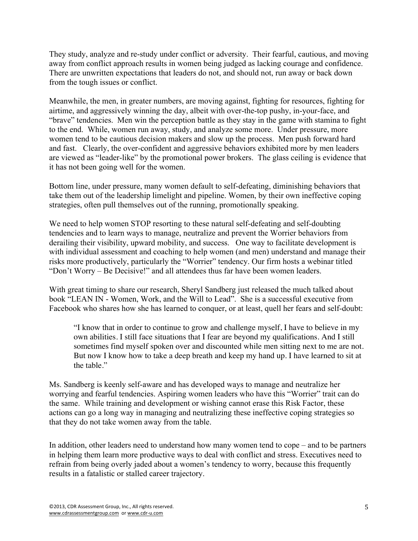They study, analyze and re-study under conflict or adversity. Their fearful, cautious, and moving away from conflict approach results in women being judged as lacking courage and confidence. There are unwritten expectations that leaders do not, and should not, run away or back down from the tough issues or conflict.

Meanwhile, the men, in greater numbers, are moving against, fighting for resources, fighting for airtime, and aggressively winning the day, albeit with over-the-top pushy, in-your-face, and "brave" tendencies. Men win the perception battle as they stay in the game with stamina to fight to the end. While, women run away, study, and analyze some more. Under pressure, more women tend to be cautious decision makers and slow up the process. Men push forward hard and fast. Clearly, the over-confident and aggressive behaviors exhibited more by men leaders are viewed as "leader-like" by the promotional power brokers. The glass ceiling is evidence that it has not been going well for the women.

Bottom line, under pressure, many women default to self-defeating, diminishing behaviors that take them out of the leadership limelight and pipeline. Women, by their own ineffective coping strategies, often pull themselves out of the running, promotionally speaking.

We need to help women STOP resorting to these natural self-defeating and self-doubting tendencies and to learn ways to manage, neutralize and prevent the Worrier behaviors from derailing their visibility, upward mobility, and success. One way to facilitate development is with individual assessment and coaching to help women (and men) understand and manage their risks more productively, particularly the "Worrier" tendency. Our firm hosts a webinar titled "Don't Worry – Be Decisive!" and all attendees thus far have been women leaders.

With great timing to share our research, Sheryl Sandberg just released the much talked about book "LEAN IN - Women, Work, and the Will to Lead". She is a successful executive from Facebook who shares how she has learned to conquer, or at least, quell her fears and self-doubt:

"I know that in order to continue to grow and challenge myself, I have to believe in my own abilities. I still face situations that I fear are beyond my qualifications. And I still sometimes find myself spoken over and discounted while men sitting next to me are not. But now I know how to take a deep breath and keep my hand up. I have learned to sit at the table."

Ms. Sandberg is keenly self-aware and has developed ways to manage and neutralize her worrying and fearful tendencies. Aspiring women leaders who have this "Worrier" trait can do the same. While training and development or wishing cannot erase this Risk Factor, these actions can go a long way in managing and neutralizing these ineffective coping strategies so that they do not take women away from the table.

In addition, other leaders need to understand how many women tend to cope – and to be partners in helping them learn more productive ways to deal with conflict and stress. Executives need to refrain from being overly jaded about a women's tendency to worry, because this frequently results in a fatalistic or stalled career trajectory.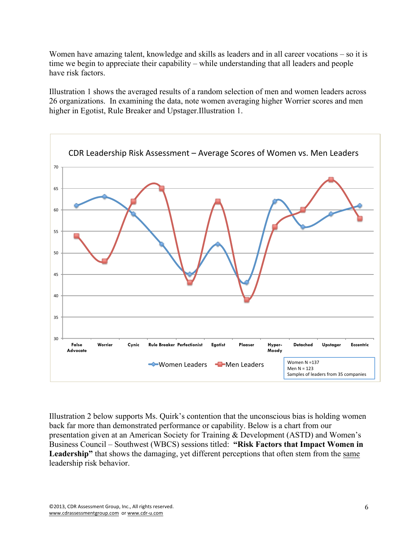Women have amazing talent, knowledge and skills as leaders and in all career vocations – so it is time we begin to appreciate their capability – while understanding that all leaders and people have risk factors.

Illustration 1 shows the averaged results of a random selection of men and women leaders across 26 organizations. In examining the data, note women averaging higher Worrier scores and men higher in Egotist, Rule Breaker and Upstager.Illustration 1.



Illustration 2 below supports Ms. Quirk's contention that the unconscious bias is holding women back far more than demonstrated performance or capability. Below is a chart from our presentation given at an American Society for Training & Development (ASTD) and Women's Business Council – Southwest (WBCS) sessions titled: **"Risk Factors that Impact Women in Leadership"** that shows the damaging, yet different perceptions that often stem from the same leadership risk behavior.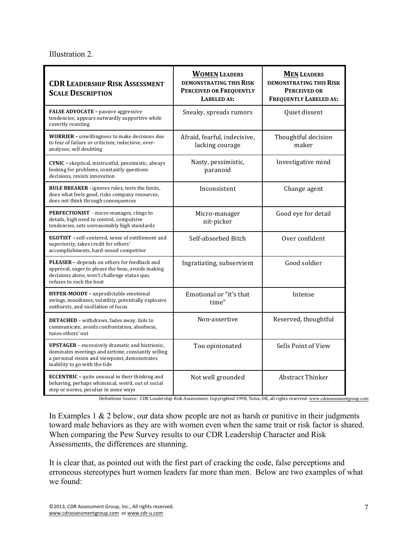#### Illustration 2.

| <b>CDR LEADERSHIP RISK ASSESSMENT</b><br><b>SCALE DESCRIPTION</b>                                                                                                                              | <b>WOMEN LEADERS</b><br><b>DEMONSTRATING THIS RISK</b><br><b>PERCEIVED OR FREQUENTLY</b><br><b>LABELED AS:</b> | <b>MEN LEADERS</b><br><b>DEMONSTRATING THIS RISK</b><br><b>PERCEIVED OR</b><br><b>FREQUENTLY LABELED AS:</b> |
|------------------------------------------------------------------------------------------------------------------------------------------------------------------------------------------------|----------------------------------------------------------------------------------------------------------------|--------------------------------------------------------------------------------------------------------------|
| <b>FALSE ADVOCATE - passive aggressive</b><br>tendencies; appears outwardly supportive while<br>covertly resisting                                                                             | Sneaky, spreads rumors                                                                                         | Quiet dissent                                                                                                |
| <b>WORRIER</b> - unwillingness to make decisions due<br>to fear of failure or criticism; indecisive, over-<br>analyzes; self doubting                                                          | Afraid, fearful, indecisive,<br>lacking courage                                                                | Thoughtful decision<br>maker                                                                                 |
| CYNIC - skeptical, mistrustful, pessimistic, always<br>looking for problems, constantly questions<br>decisions, resists innovation                                                             | Nasty, pessimistic,<br>paranoid                                                                                | Investigative mind                                                                                           |
| <b>RULE BREAKER</b> - ignores rules, tests the limits,<br>does what feels good, risks company resources,<br>does not think through consequences                                                | Inconsistent                                                                                                   | Change agent                                                                                                 |
| <b>PERFECTIONIST</b> - micro-manages, clings to<br>details, high need to control, compulsive<br>tendencies, sets unreasonably high standards                                                   | Micro-manager<br>nit-picker                                                                                    | Good eye for detail                                                                                          |
| <b>EGOTIST</b> - self-centered, sense of entitlement and<br>superiority, takes credit for others'<br>accomplishments, hard-nosed competitor                                                    | Self-absorbed Bitch                                                                                            | Over confident                                                                                               |
| <b>PLEASER</b> – depends on others for feedback and<br>approval, eager to please the boss, avoids making<br>decisions alone, won't challenge status quo,<br>refuses to rock the boat           | Ingratiating, subservient                                                                                      | Good soldier                                                                                                 |
| <b>HYPER-MOODY</b> - unpredictable emotional<br>swings, moodiness, volatility, potentially explosive<br>outbursts, and vacillation of focus                                                    | Emotional or "it's that<br>time"                                                                               | Intense                                                                                                      |
| <b>DETACHED</b> - withdraws, fades away, fails to<br>communicate, avoids confrontation, aloofness,<br>tunes others' out                                                                        | Non-assertive                                                                                                  | Reserved, thoughtful                                                                                         |
| <b>UPSTAGER</b> - excessively dramatic and histrionic,<br>dominates meetings and airtime, constantly selling<br>a personal vision and viewpoint, demonstrates<br>inability to go with the tide | Too opinionated                                                                                                | Sells Point of View                                                                                          |
| <b>ECCENTRIC</b> – quite unusual in their thinking and<br>behaving, perhaps whimsical, weird, out of social<br>step or norms, peculiar in some ways                                            | Not well grounded                                                                                              | <b>Abstract Thinker</b>                                                                                      |

Definitions Source: CDR Leadership Risk Assessment, Copyrighted 1998, Tulsa, OK, all rights reserved. www.cdrassessmentgroup.com

In Examples 1  $& 2$  below, our data show people are not as harsh or punitive in their judgments toward male behaviors as they are with women even when the same trait or risk factor is shared. When comparing the Pew Survey results to our CDR Leadership Character and Risk Assessments, the differences are stunning.

It is clear that, as pointed out with the first part of cracking the code, false perceptions and erroneous stereotypes hurt women leaders far more than men. Below are two examples of what we found: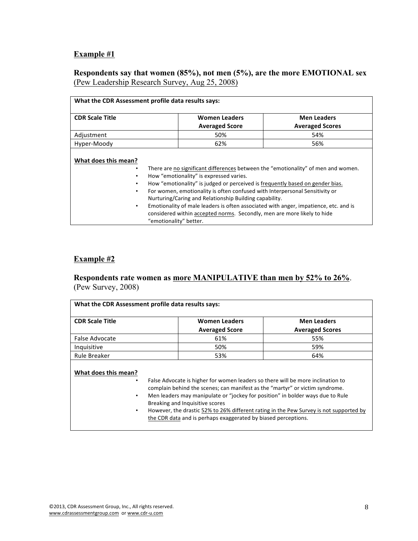## **Example #1**

#### **Respondents say that women (85%), not men (5%), are the more EMOTIONAL sex** (Pew Leadership Research Survey, Aug 25, 2008)

| What the CDR Assessment profile data results says: |                                                                                                                                                                                                                                                                                                                                                                                                                                                                                                                                                     |                        |  |  |  |
|----------------------------------------------------|-----------------------------------------------------------------------------------------------------------------------------------------------------------------------------------------------------------------------------------------------------------------------------------------------------------------------------------------------------------------------------------------------------------------------------------------------------------------------------------------------------------------------------------------------------|------------------------|--|--|--|
| <b>CDR Scale Title</b>                             | <b>Women Leaders</b>                                                                                                                                                                                                                                                                                                                                                                                                                                                                                                                                | <b>Men Leaders</b>     |  |  |  |
|                                                    | <b>Averaged Score</b>                                                                                                                                                                                                                                                                                                                                                                                                                                                                                                                               | <b>Averaged Scores</b> |  |  |  |
| Adjustment                                         | 50%                                                                                                                                                                                                                                                                                                                                                                                                                                                                                                                                                 | 54%                    |  |  |  |
| Hyper-Moody                                        | 62%                                                                                                                                                                                                                                                                                                                                                                                                                                                                                                                                                 | 56%                    |  |  |  |
| What does this mean?<br>$\bullet$<br>٠             | There are no significant differences between the "emotionality" of men and women.<br>How "emotionality" is expressed varies.<br>How "emotionality" is judged or perceived is frequently based on gender bias.<br>For women, emotionality is often confused with Interpersonal Sensitivity or<br>Nurturing/Caring and Relationship Building capability.<br>Emotionality of male leaders is often associated with anger, impatience, etc. and is<br>considered within accepted norms. Secondly, men are more likely to hide<br>"emotionality" better. |                        |  |  |  |

## **Example #2**

#### **Respondents rate women as more MANIPULATIVE than men by 52% to 26%**. (Pew Survey, 2008)

| <b>CDR Scale Title</b>              | <b>Women Leaders</b>                                                                                                                                                                                                                                                                                                                                                                                                                             | <b>Men Leaders</b><br><b>Averaged Scores</b> |
|-------------------------------------|--------------------------------------------------------------------------------------------------------------------------------------------------------------------------------------------------------------------------------------------------------------------------------------------------------------------------------------------------------------------------------------------------------------------------------------------------|----------------------------------------------|
|                                     | <b>Averaged Score</b>                                                                                                                                                                                                                                                                                                                                                                                                                            |                                              |
| False Advocate                      | 61%                                                                                                                                                                                                                                                                                                                                                                                                                                              | 55%                                          |
| Inquisitive                         | 50%                                                                                                                                                                                                                                                                                                                                                                                                                                              | 59%                                          |
| Rule Breaker                        | 53%                                                                                                                                                                                                                                                                                                                                                                                                                                              | 64%                                          |
| What does this mean?<br>٠<br>٠<br>٠ | False Advocate is higher for women leaders so there will be more inclination to<br>complain behind the scenes; can manifest as the "martyr" or victim syndrome.<br>Men leaders may manipulate or "jockey for position" in bolder ways due to Rule<br>Breaking and Inquisitive scores<br>However, the drastic 52% to 26% different rating in the Pew Survey is not supported by<br>the CDR data and is perhaps exaggerated by biased perceptions. |                                              |